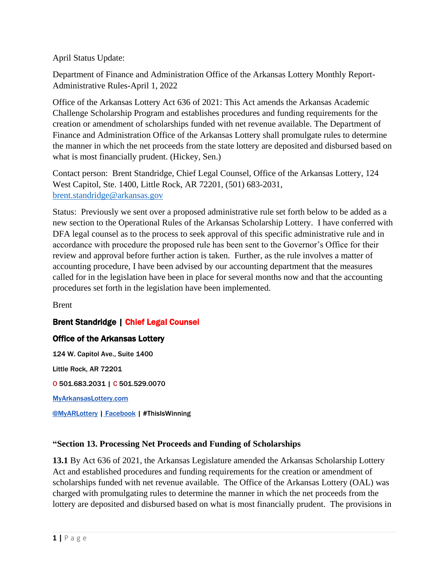April Status Update:

Department of Finance and Administration Office of the Arkansas Lottery Monthly Report-Administrative Rules-April 1, 2022

Office of the Arkansas Lottery Act 636 of 2021: This Act amends the Arkansas Academic Challenge Scholarship Program and establishes procedures and funding requirements for the creation or amendment of scholarships funded with net revenue available. The Department of Finance and Administration Office of the Arkansas Lottery shall promulgate rules to determine the manner in which the net proceeds from the state lottery are deposited and disbursed based on what is most financially prudent. (Hickey, Sen.)

Contact person: Brent Standridge, Chief Legal Counsel, Office of the Arkansas Lottery, 124 West Capitol, Ste. 1400, Little Rock, AR 72201, (501) 683-2031, [brent.standridge@arkansas.gov](mailto:brent.standridge@arkansas.gov)

Status: Previously we sent over a proposed administrative rule set forth below to be added as a new section to the Operational Rules of the Arkansas Scholarship Lottery. I have conferred with DFA legal counsel as to the process to seek approval of this specific administrative rule and in accordance with procedure the proposed rule has been sent to the Governor's Office for their review and approval before further action is taken. Further, as the rule involves a matter of accounting procedure, I have been advised by our accounting department that the measures called for in the legislation have been in place for several months now and that the accounting procedures set forth in the legislation have been implemented.

Brent

## Brent Standridge | Chief Legal Counsel

## Office of the Arkansas Lottery

124 W. Capitol Ave., Suite 1400 Little Rock, AR 72201 O 501.683.2031 | C 501.529.0070 [MyArkansasLottery.com](https://www.myarkansaslottery.com/) [@MyARLottery](https://twitter.com/myarlottery) | [Facebook](https://www.facebook.com/ArkansasScholarshipLottery/) | #ThisIsWinning

## **"Section 13. Processing Net Proceeds and Funding of Scholarships**

**13.1** By Act 636 of 2021, the Arkansas Legislature amended the Arkansas Scholarship Lottery Act and established procedures and funding requirements for the creation or amendment of scholarships funded with net revenue available. The Office of the Arkansas Lottery (OAL) was charged with promulgating rules to determine the manner in which the net proceeds from the lottery are deposited and disbursed based on what is most financially prudent. The provisions in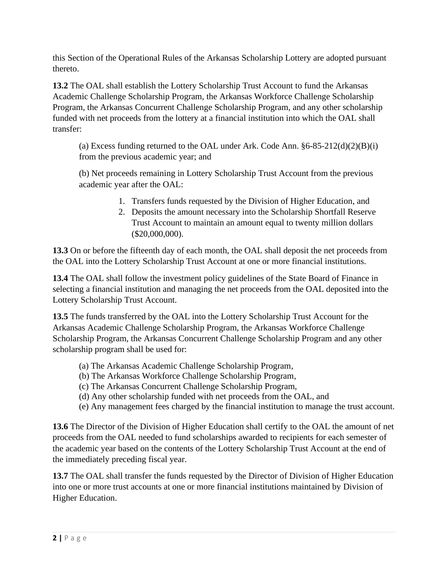this Section of the Operational Rules of the Arkansas Scholarship Lottery are adopted pursuant thereto.

**13.2** The OAL shall establish the Lottery Scholarship Trust Account to fund the Arkansas Academic Challenge Scholarship Program, the Arkansas Workforce Challenge Scholarship Program, the Arkansas Concurrent Challenge Scholarship Program, and any other scholarship funded with net proceeds from the lottery at a financial institution into which the OAL shall transfer:

(a) Excess funding returned to the OAL under Ark. Code Ann.  $§6-85-212(d)(2)(B)(i)$ from the previous academic year; and

(b) Net proceeds remaining in Lottery Scholarship Trust Account from the previous academic year after the OAL:

- 1. Transfers funds requested by the Division of Higher Education, and
- 2. Deposits the amount necessary into the Scholarship Shortfall Reserve Trust Account to maintain an amount equal to twenty million dollars (\$20,000,000).

**13.3** On or before the fifteenth day of each month, the OAL shall deposit the net proceeds from the OAL into the Lottery Scholarship Trust Account at one or more financial institutions.

**13.4** The OAL shall follow the investment policy guidelines of the State Board of Finance in selecting a financial institution and managing the net proceeds from the OAL deposited into the Lottery Scholarship Trust Account.

**13.5** The funds transferred by the OAL into the Lottery Scholarship Trust Account for the Arkansas Academic Challenge Scholarship Program, the Arkansas Workforce Challenge Scholarship Program, the Arkansas Concurrent Challenge Scholarship Program and any other scholarship program shall be used for:

- (a) The Arkansas Academic Challenge Scholarship Program,
- (b) The Arkansas Workforce Challenge Scholarship Program,
- (c) The Arkansas Concurrent Challenge Scholarship Program,
- (d) Any other scholarship funded with net proceeds from the OAL, and
- (e) Any management fees charged by the financial institution to manage the trust account.

**13.6** The Director of the Division of Higher Education shall certify to the OAL the amount of net proceeds from the OAL needed to fund scholarships awarded to recipients for each semester of the academic year based on the contents of the Lottery Scholarship Trust Account at the end of the immediately preceding fiscal year.

**13.7** The OAL shall transfer the funds requested by the Director of Division of Higher Education into one or more trust accounts at one or more financial institutions maintained by Division of Higher Education.